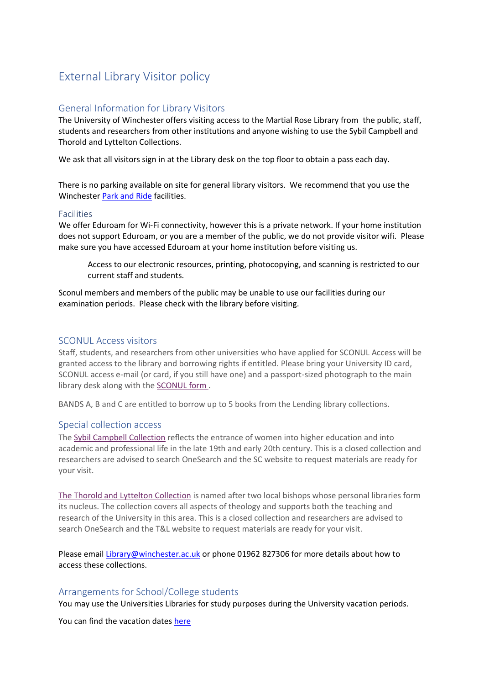# External Library Visitor policy

## General Information for Library Visitors

The University of Winchester offers visiting access to the Martial Rose Library from the public, staff, students and researchers from other institutions and anyone wishing to use the Sybil Campbell and Thorold and Lyttelton Collections.

We ask that all visitors sign in at the Library desk on the top floor to obtain a pass each day.

There is no parking available on site for general library visitors. We recommend that you use the Winchester [Park and Ride](https://www.winchester.ac.uk/media/content-assets/documents/Park--Ride-leaflet.pdf) facilities.

#### Facilities

We offer Eduroam for Wi-Fi connectivity, however this is a private network. If your home institution does not support Eduroam, or you are a member of the public, we do not provide visitor wifi. Please make sure you have accessed Eduroam at your home institution before visiting us.

Access to our electronic resources, printing, photocopying, and scanning is restricted to our current staff and students.

Sconul members and members of the public may be unable to use our facilities during our examination periods. Please check with the library before visiting.

### SCONUL Access visitors

Staff, students, and researchers from other universities who have applied for SCONUL Access will be granted access to the library and borrowing rights if entitled. Please bring your University ID card, SCONUL access e-mail (or card, if you still have one) and a passport-sized photograph to the main library desk along with the [SCONUL form](https://livecms.winchester.ac.uk/terminalfour/page/media) .

BANDS A, B and C are entitled to borrow up to 5 books from the Lending library collections.

## Special collection access

The [Sybil Campbell Collection](http://sybilcampbellcollection.org.uk/scc/) reflects the entrance of women into higher education and into academic and professional life in the late 19th and early 20th century. This is a closed collection and researchers are advised to search OneSearch and the SC website to request materials are ready for your visit.

[The Thorold and Lyttelton Collection](https://apps.winchester.ac.uk/librarytl/) is named after two local bishops whose personal libraries form its nucleus. The collection covers all aspects of theology and supports both the teaching and research of the University in this area. This is a closed collection and researchers are advised to search OneSearch and the T&L website to request materials are ready for your visit.

Please email [Library@winchester.ac.uk](mailto:Library@winchester.ac.uk) or phone 01962 827306 for more details about how to access these collections.

## Arrangements for School/College students

You may use the Universities Libraries for study purposes during the University vacation periods.

You can find the vacation dates [here](https://www.winchester.ac.uk/accommodation-and-winchester-life/student-life/semester-dates/)